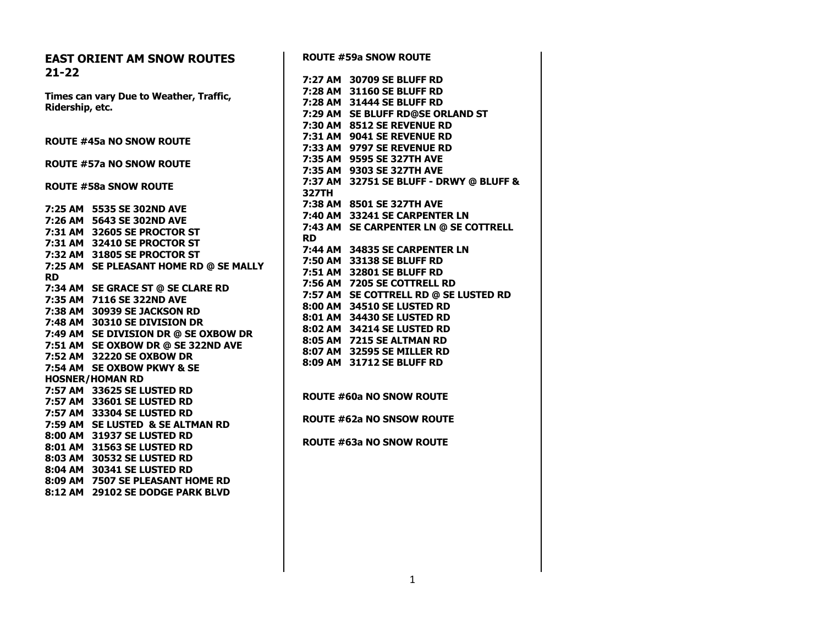| <b>ROUTE #59a SNOW ROUTE</b>            |
|-----------------------------------------|
| 7:27 AM 30709 SE BLUFF RD               |
| 7:28 AM 31160 SE BLUFF RD               |
| 7:28 AM 31444 SE BLUFF RD               |
| 7:29 AM SE BLUFF RD@SE ORLAND ST        |
| 7:30 AM 8512 SE REVENUE RD              |
| 7:31 AM 9041 SE REVENUE RD              |
| 7:33 AM 9797 SE REVENUE RD              |
| 7:35 AM 9595 SE 327TH AVE               |
| 7:35 AM 9303 SE 327TH AVE               |
| 7:37 AM 32751 SE BLUFF - DRWY @ BLUFF & |
| <b>327TH</b>                            |
| 7:38 AM 8501 SE 327TH AVE               |
| 7:40 AM 33241 SE CARPENTER LN           |
| 7:43 AM SE CARPENTER LN @ SE COTTRELL   |
| <b>RD</b>                               |
| 7:44 AM 34835 SE CARPENTER LN           |
| 7:50 AM 33138 SE BLUFF RD               |
| 7:51 AM 32801 SE BLUFF RD               |
| 7:56 AM 7205 SE COTTRELL RD             |
| 7:57 AM SE COTTRELL RD @ SE LUSTED RD   |
| 8:00 AM 34510 SE LUSTED RD              |
| 8:01 AM 34430 SE LUSTED RD              |
| 8:02 AM 34214 SE LUSTED RD              |
| 8:05 AM 7215 SE ALTMAN RD               |
| 8:07 AM 32595 SE MILLER RD              |
| 8:09 AM 31712 SE BLUFF RD               |
|                                         |
|                                         |
| <b>ROUTE #60a NO SNOW ROUTE</b>         |
|                                         |
| <b>ROUTE #62a NO SNSOW ROUTE</b>        |
|                                         |
| <b>ROUTE #63a NO SNOW ROUTE</b>         |
|                                         |
|                                         |
|                                         |
|                                         |
|                                         |
|                                         |